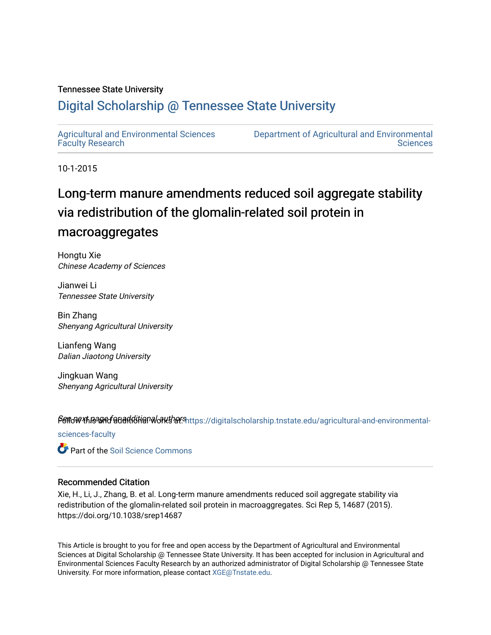#### Tennessee State University

### [Digital Scholarship @ Tennessee State University](https://digitalscholarship.tnstate.edu/)

[Agricultural and Environmental Sciences](https://digitalscholarship.tnstate.edu/agricultural-and-environmental-sciences-faculty)  [Faculty Research](https://digitalscholarship.tnstate.edu/agricultural-and-environmental-sciences-faculty)

[Department of Agricultural and Environmental](https://digitalscholarship.tnstate.edu/agricultural-and-environmental-sciences)  **Sciences** 

10-1-2015

## Long-term manure amendments reduced soil aggregate stability via redistribution of the glomalin-related soil protein in macroaggregates

Hongtu Xie Chinese Academy of Sciences

Jianwei Li Tennessee State University

Bin Zhang Shenyang Agricultural University

Lianfeng Wang Dalian Jiaotong University

Jingkuan Wang Shenyang Agricultural University

Sert of the and-environmental rest page of a discrept page of the set of a set of additional and addenning the

[sciences-faculty](https://digitalscholarship.tnstate.edu/agricultural-and-environmental-sciences-faculty?utm_source=digitalscholarship.tnstate.edu%2Fagricultural-and-environmental-sciences-faculty%2F288&utm_medium=PDF&utm_campaign=PDFCoverPages)

**C** Part of the Soil Science Commons

#### Recommended Citation

Xie, H., Li, J., Zhang, B. et al. Long-term manure amendments reduced soil aggregate stability via redistribution of the glomalin-related soil protein in macroaggregates. Sci Rep 5, 14687 (2015). https://doi.org/10.1038/srep14687

This Article is brought to you for free and open access by the Department of Agricultural and Environmental Sciences at Digital Scholarship @ Tennessee State University. It has been accepted for inclusion in Agricultural and Environmental Sciences Faculty Research by an authorized administrator of Digital Scholarship @ Tennessee State University. For more information, please contact [XGE@Tnstate.edu](mailto:XGE@Tnstate.edu).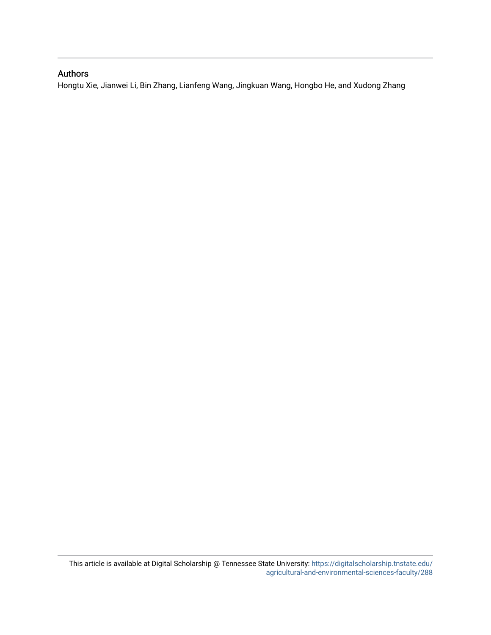#### Authors

Hongtu Xie, Jianwei Li, Bin Zhang, Lianfeng Wang, Jingkuan Wang, Hongbo He, and Xudong Zhang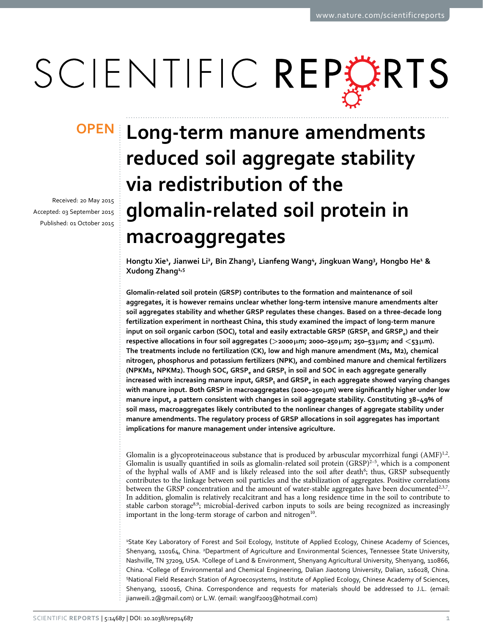# SCIENTIFIC REPERTS

## **OPEN**

Received: 20 May 2015 accepted: 03 September 2015 Published: 01 October 2015

## **Long-term manure amendments reduced soil aggregate stability via redistribution of the glomalin-related soil protein in macroaggregates**

Hongtu Xie<sup>1</sup>, Jianwei Li<sup>2</sup>, Bin Zhang<sup>3</sup>, Lianfeng Wang<sup>4</sup>, Jingkuan Wang<sup>3</sup>, Hongbo He<sup>1</sup> & **Xudong Zhang1,5**

**Glomalin-related soil protein (GRSP) contributes to the formation and maintenance of soil aggregates, it is however remains unclear whether long-term intensive manure amendments alter soil aggregates stability and whether GRSP regulates these changes. Based on a three-decade long fertilization experiment in northeast China, this study examined the impact of long-term manure**  input on soil organic carbon (SOC), total and easily extractable GRSP (GRSP<sub>t</sub> and GRSP<sub>e</sub>) and their **respective allocations in four soil aggregates (>2000μm; 2000–250μm; 250–53μm; and <53μm). The treatments include no fertilization (CK), low and high manure amendment (M1, M2), chemical nitrogen, phosphorus and potassium fertilizers (NPK), and combined manure and chemical fertilizers**  (NPKM1, NPKM2). Though SOC, GRSP<sub>e</sub> and GRSP<sub>t</sub> in soil and SOC in each aggregate generally increased with increasing manure input, GRSP<sub>t</sub> and GRSP<sub>e</sub> in each aggregate showed varying changes **with manure input. Both GRSP in macroaggregates (2000–250μm) were significantly higher under low manure input, a pattern consistent with changes in soil aggregate stability. Constituting 38~49% of soil mass, macroaggregates likely contributed to the nonlinear changes of aggregate stability under manure amendments. The regulatory process of GRSP allocations in soil aggregates has important implications for manure management under intensive agriculture.**

Glomalin is a glycoproteinaceous substance that is produced by arbuscular mycorrhizal fungi  $(AMF)^{1,2}$  $(AMF)^{1,2}$  $(AMF)^{1,2}$ . Glomalin is usually quantified in soils as glomalin-related soil protein  $(GRSP)^{2-5}$ , which is a component of the hyphal walls of AMF and is likely released into the soil after death<sup>6</sup>; thus, GRSP subsequently contributes to the linkage between soil particles and the stabilization of aggregates. Positive correlations between the GRSP concentration and the amount of water-stable aggregates have been documented $2,3,7$  $2,3,7$  $2,3,7$  $2,3,7$ . In addition, glomalin is relatively recalcitrant and has a long residence time in the soil to contribute to stable carbon storage<sup>8,[9](#page-8-6)</sup>; microbial-derived carbon inputs to soils are being recognized as increasingly important in the long-term storage of carbon and nitrogen $10$ .

1 State Key Laboratory of Forest and Soil Ecology, Institute of Applied Ecology, Chinese Academy of Sciences, Shenyang, 110164, China. <sup>2</sup>Department of Agriculture and Environmental Sciences, Tennessee State University, Nashville, TN 37209, USA. <sup>3</sup>College of Land & Environment, Shenyang Agricultural University, Shenyang, 110866, China. 4 College of Environmental and Chemical Engineering, Dalian Jiaotong University, Dalian, 116028, China. 5 National Field Research Station of Agroecosystems, Institute of Applied Ecology, Chinese Academy of Sciences, Shenyang, 110016, China. Correspondence and requests for materials should be addressed to J.L. (email: [jianweili.2@gmail.com\)](mailto:jianweili.2@gmail.com) or L.W. (email: [wanglf2003@hotmail.com\)](mailto:wanglf2003@hotmail.com)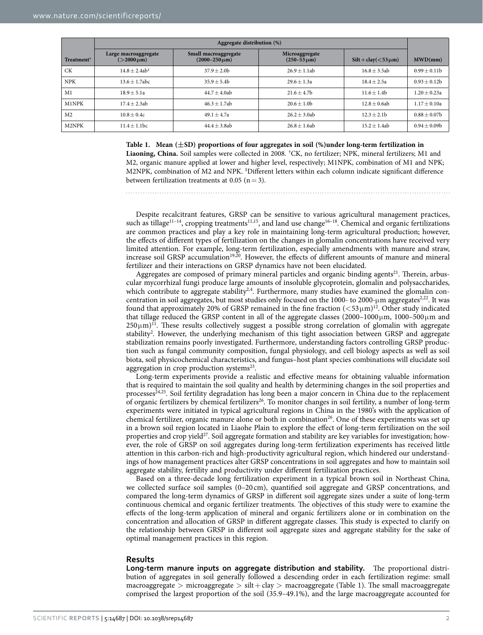<span id="page-3-0"></span>

|                        | Aggregate distribution (%)                  |                                                |                                        |                          |                   |  |
|------------------------|---------------------------------------------|------------------------------------------------|----------------------------------------|--------------------------|-------------------|--|
| Treatment <sup>†</sup> | Large macroaggregate<br>$( > 2000 \,\mu m)$ | Small macroaggregate<br>$(2000 - 250 \,\mu m)$ | Microaggregate<br>$(250 - 53 \,\mu m)$ | $Silt + clay(<53 \mu m)$ | MWD/mm            |  |
| <b>CK</b>              | $14.8 + 2.4ab^{\ddagger}$                   | $37.9 + 2.0b$                                  | $26.9 + 1.1ab$                         | $16.8 + 3.5ab$           | $0.99 \pm 0.11$   |  |
| <b>NPK</b>             | $13.6 \pm 1.7$ abc                          | $35.9 \pm 5.4b$                                | $29.6 \pm 1.3a$                        | $18.4 \pm 2.5a$          | $0.93 \pm 0.12b$  |  |
| M1                     | $18.9 + 5.1a$                               | $44.7 + 4.0$ ab                                | $21.6 + 4.7b$                          | $11.6 \pm 1.4b$          | $1.20 \pm 0.23a$  |  |
| M1NPK                  | $17.4 + 2.3ab$                              | $46.3 + 1.7ab$                                 | $20.6 + 1.0b$                          | $12.8 \pm 0.6ab$         | $1.17 \pm 0.10a$  |  |
| M <sub>2</sub>         | $10.8 + 0.4c$                               | $49.1 + 4.7a$                                  | $26.2 + 3.0$ ab                        | $12.3 + 2.1b$            | $0.88 \pm 0.07$ b |  |
| M2NPK                  | $11.4 \pm 1.1$ bc                           | $44.4 \pm 3.8$ ab                              | $26.8 \pm 1.6$ ab                      | $15.2 \pm 1.4ab$         | $0.94 \pm 0.09$   |  |

#### **Table 1. Mean (±SD) proportions of four aggregates in soil (%)under long-term fertilization in**

**Liaoning, China.** Soil samples were collected in 2008. † CK, no fertilizer; NPK, mineral fertilizers; M1 and M2, organic manure applied at lower and higher level, respectively; M1NPK, combination of M1 and NPK; M2NPK, combination of M2 and NPK. <sup>‡</sup>Different letters within each column indicate significant difference between fertilization treatments at 0.05 ( $n=3$ ).

Despite recalcitrant features, GRSP can be sensitive to various agricultural management practices, such as tillage<sup>11–14</sup>, cropping treatments<sup>11,15</sup>, and land use change<sup>16–18</sup>. Chemical and organic fertilizations are common practices and play a key role in maintaining long-term agricultural production; however, the effects of different types of fertilization on the changes in glomalin concentrations have received very limited attention. For example, long-term fertilization, especially amendments with manure and straw, increase soil GRSP accumulation<sup>19,20</sup>. However, the effects of different amounts of manure and mineral fertilizer and their interactions on GRSP dynamics have not been elucidated.

Aggregates are composed of primary mineral particles and organic binding agents $^{21}$ . Therein, arbuscular mycorrhizal fungi produce large amounts of insoluble glycoprotein, glomalin and polysaccharides, which contribute to aggregate stability<sup>2[,4](#page-8-14)</sup>. Furthermore, many studies have examined the glomalin concentration in soil aggregates, but most studies only focused on the 1000- to 2000-µm aggregates $2^{2,22}$  $2^{2,22}$  $2^{2,22}$  $2^{2,22}$ . It was found that approximately 20% of GRSP remained in the fine fraction  $(<53 \mu m)^{12}$ . Other study indicated that tillage reduced the GRSP content in all of the aggregate classes  $(2000-1000\,\mu\text{m}, 1000-500\,\mu\text{m}$  and  $250 \mu m$ <sup>11</sup>. These results collectively suggest a possible strong correlation of glomalin with aggregate stability<sup>[2](#page-8-1)</sup>. However, the underlying mechanism of this tight association between GRSP and aggregate stabilization remains poorly investigated. Furthermore, understanding factors controlling GRSP production such as fungal community composition, fungal physiology, and cell biology aspects as well as soil biota, soil physicochemical characteristics, and fungus–host plant species combinations will elucidate soil aggregation in crop production systems $^{23}$ .

Long-term experiments provide a realistic and effective means for obtaining valuable information that is required to maintain the soil quality and health by determining changes in the soil properties and processes $24,25$ . Soil fertility degradation has long been a major concern in China due to the replacement of organic fertilizers by chemical fertilizers<sup>26</sup>. To monitor changes in soil fertility, a number of long-term experiments were initiated in typical agricultural regions in China in the 1980's with the application of chemical fertilizer, organic manure alone or both in combination<sup>26</sup>. One of these experiments was set up in a brown soil region located in Liaohe Plain to explore the effect of long-term fertilization on the soil properties and crop yield<sup>27</sup>. Soil aggregate formation and stability are key variables for investigation; however, the role of GRSP on soil aggregates during long-term fertilization experiments has received little attention in this carbon-rich and high-productivity agricultural region, which hindered our understandings of how management practices alter GRSP concentrations in soil aggregates and how to maintain soil aggregate stability, fertility and productivity under different fertilization practices.

Based on a three-decade long fertilization experiment in a typical brown soil in Northeast China, we collected surface soil samples (0–20 cm), quantified soil aggregate and GRSP concentrations, and compared the long-term dynamics of GRSP in different soil aggregate sizes under a suite of long-term continuous chemical and organic fertilizer treatments. The objectives of this study were to examine the effects of the long-term application of mineral and organic fertilizers alone or in combination on the concentration and allocation of GRSP in different aggregate classes. This study is expected to clarify on the relationship between GRSP in different soil aggregate sizes and aggregate stability for the sake of optimal management practices in this region.

#### **Results**

**Long-term manure inputs on aggregate distribution and stability.** The proportional distribution of aggregates in soil generally followed a descending order in each fertilization regime: small macroaggregate > microaggregate > silt+ clay > macroaggregate ([Table 1\)](#page-3-0). The small macroaggregate comprised the largest proportion of the soil (35.9–49.1%), and the large macroaggregate accounted for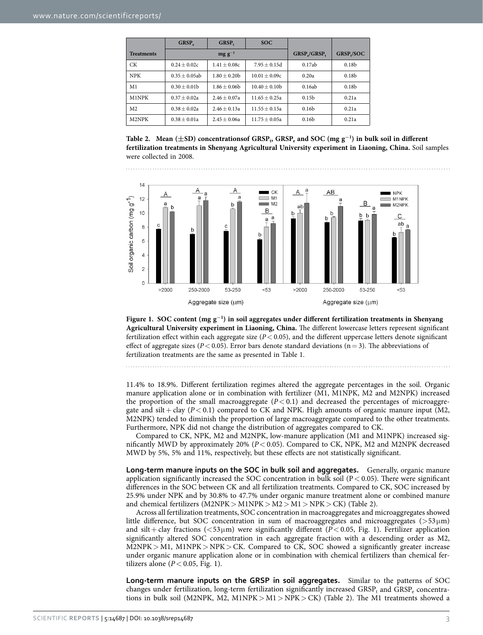<span id="page-4-0"></span>

|                   | GRSP <sub>c</sub> | GRSP,          | SOC             |                   |                        |
|-------------------|-------------------|----------------|-----------------|-------------------|------------------------|
| <b>Treatments</b> |                   | $mg g^{-1}$    |                 | GRSP./GRSP,       | GRSP <sub>1</sub> /SOC |
| CК                | $0.24 + 0.02c$    | $1.41 + 0.08c$ | $7.95 + 0.15d$  | 0.17ab            | 0.18 <sub>b</sub>      |
| <b>NPK</b>        | $0.35 + 0.05$ ab  | $1.80 + 0.20$  | $10.01 + 0.09c$ | 0.20a             | 0.18 <sub>b</sub>      |
| M <sub>1</sub>    | $0.30 + 0.01$     | $1.86 + 0.06$  | $10.40 + 0.10b$ | 0.16ab            | 0.18 <sub>b</sub>      |
| M1NPK             | $0.37 + 0.02a$    | $2.46 + 0.07a$ | $11.65 + 0.25a$ | 0.15 <sub>b</sub> | 0.21a                  |
| M <sub>2</sub>    | $0.38 + 0.02a$    | $2.46 + 0.13a$ | $11.55 + 0.15a$ | 0.16 <sub>b</sub> | 0.21a                  |
| M2NPK             | $0.38 + 0.01a$    | $2.45 + 0.06a$ | $11.75 + 0.05a$ | 0.16 <sub>b</sub> | 0.21a                  |

Table 2. Mean ( $\pm$ SD) concentrationsof GRSP<sub>t</sub>, GRSP<sub>e</sub> and SOC (mg g<sup>−1</sup>) in bulk soil in different **fertilization treatments in Shenyang Agricultural University experiment in Liaoning, China.** Soil samples were collected in 2008.



<span id="page-4-1"></span>**Figure 1. SOC content (mg g<sup>−</sup><sup>1</sup> ) in soil aggregates under different fertilization treatments in Shenyang Agricultural University experiment in Liaoning, China.** The different lowercase letters represent significant fertilization effect within each aggregate size (*P*< 0.05), and the different uppercase letters denote significant effect of aggregate sizes ( $P < 0.05$ ). Error bars denote standard deviations ( $n = 3$ ). The abbreviations of fertilization treatments are the same as presented in [Table 1.](#page-3-0)

11.4% to 18.9%. Different fertilization regimes altered the aggregate percentages in the soil. Organic manure application alone or in combination with fertilizer (M1, M1NPK, M2 and M2NPK) increased the proportion of the small macroaggregate  $(P< 0.1)$  and decreased the percentages of microaggregate and silt + clay  $(P < 0.1)$  compared to CK and NPK. High amounts of organic manure input (M2, M2NPK) tended to diminish the proportion of large macroaggregate compared to the other treatments. Furthermore, NPK did not change the distribution of aggregates compared to CK.

Compared to CK, NPK, M2 and M2NPK, low-manure application (M1 and M1NPK) increased significantly MWD by approximately 20% (*P*< 0.05). Compared to CK, NPK, M2 and M2NPK decreased MWD by 5%, 5% and 11%, respectively, but these effects are not statistically significant.

**Long-term manure inputs on the SOC in bulk soil and aggregates.** Generally, organic manure application significantly increased the SOC concentration in bulk soil ( $P < 0.05$ ). There were significant differences in the SOC between CK and all fertilization treatments. Compared to CK, SOC increased by 25.9% under NPK and by 30.8% to 47.7% under organic manure treatment alone or combined manure and chemical fertilizers (M2NPK> M1NPK> M2> M1> NPK> CK) ([Table 2](#page-4-0)).

Across all fertilization treatments, SOC concentration in macroaggregates and microaggregates showed little difference, but SOC concentration in sum of macroaggregates and microaggregates ( $>53\,\mu$ m) and silt + clay fractions ( $\lt$ 53 $\mu$ m) were significantly different (*P* $\lt$  0.05, Fig. 1). Fertilizer application significantly altered SOC concentration in each aggregate fraction with a descending order as M2, M2NPK> M1, M1NPK> NPK> CK. Compared to CK, SOC showed a significantly greater increase under organic manure application alone or in combination with chemical fertilizers than chemical fertilizers alone ( $P < 0.05$ , [Fig. 1](#page-4-1)).

**Long-term manure inputs on the GRSP in soil aggregates.** Similar to the patterns of SOC changes under fertilization, long-term fertilization significantly increased  $\mathrm{GRSP_{t}}$  and  $\mathrm{GRSP_{c}}$  concentrations in bulk soil (M2NPK, M2, M1NPK > M1 > NPK > CK) (Table 2). The M1 treatments showed a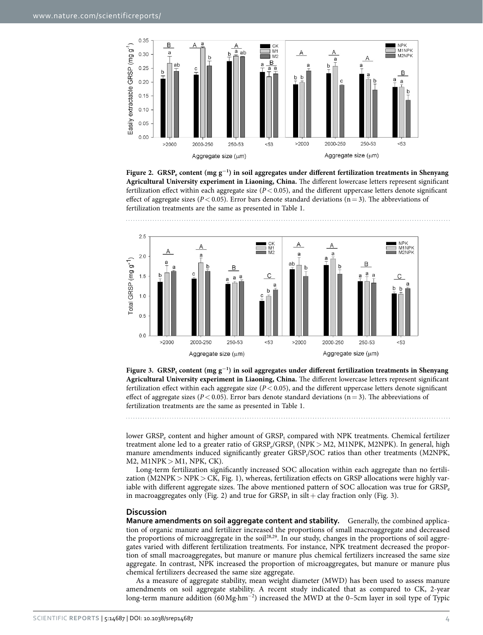

<span id="page-5-0"></span>**Figure 2. GRSPe content (mg g<sup>−</sup><sup>1</sup> ) in soil aggregates under different fertilization treatments in Shenyang Agricultural University experiment in Liaoning, China.** The different lowercase letters represent significant fertilization effect within each aggregate size (*P*< 0.05), and the different uppercase letters denote significant effect of aggregate sizes ( $P < 0.05$ ). Error bars denote standard deviations ( $n = 3$ ). The abbreviations of fertilization treatments are the same as presented in [Table 1.](#page-3-0)



<span id="page-5-1"></span>**Figure 3.** GRSP<sub>t</sub> content (mg g<sup>−1</sup>) in soil aggregates under different fertilization treatments in Shenyang **Agricultural University experiment in Liaoning, China.** The different lowercase letters represent significant fertilization effect within each aggregate size  $(P < 0.05)$ , and the different uppercase letters denote significant effect of aggregate sizes ( $P < 0.05$ ). Error bars denote standard deviations ( $n = 3$ ). The abbreviations of fertilization treatments are the same as presented in [Table 1.](#page-3-0)

lower  $\mathrm{GRSP}_\mathrm{e}$  content and higher amount of  $\mathrm{GRSP}_\mathrm{t}$  compared with NPK treatments. Chemical fertilizer treatment alone led to a greater ratio of  $GRSP_e/GRSP_t$  (NPK > M2, M1NPK, M2NPK). In general, high manure amendments induced significantly greater GRSP<sub>t</sub>/SOC ratios than other treatments (M2NPK,  $M2$ ,  $M1NPK > M1$ , NPK, CK).

Long-term fertilization significantly increased SOC allocation within each aggregate than no fertili-zation (M2NPK > NPK > CK, [Fig. 1\)](#page-4-1), whereas, fertilization effects on GRSP allocations were highly variable with different aggregate sizes. The above mentioned pattern of SOC allocation was true for GRSP<sub>e</sub> in macroaggregates only [\(Fig. 2\)](#page-5-0) and true for  $\mathrm{GRSP}_{\mathrm{t}}$  in silt + clay fraction only ([Fig. 3](#page-5-1)).

#### **Discussion**

**Manure amendments on soil aggregate content and stability.** Generally, the combined application of organic manure and fertilizer increased the proportions of small macroaggregate and decreased the proportions of microaggregate in the soi[l28](#page-9-0),[29.](#page-9-1) In our study, changes in the proportions of soil aggregates varied with different fertilization treatments. For instance, NPK treatment decreased the proportion of small macroaggregates, but manure or manure plus chemical fertilizers increased the same size aggregate. In contrast, NPK increased the proportion of microaggregates, but manure or manure plus chemical fertilizers decreased the same size aggregate.

As a measure of aggregate stability, mean weight diameter (MWD) has been used to assess manure amendments on soil aggregate stability. A recent study indicated that as compared to CK, 2-year long-term manure addition (60Mg·hm<sup>−2</sup>) increased the MWD at the 0–5cm layer in soil type of Typic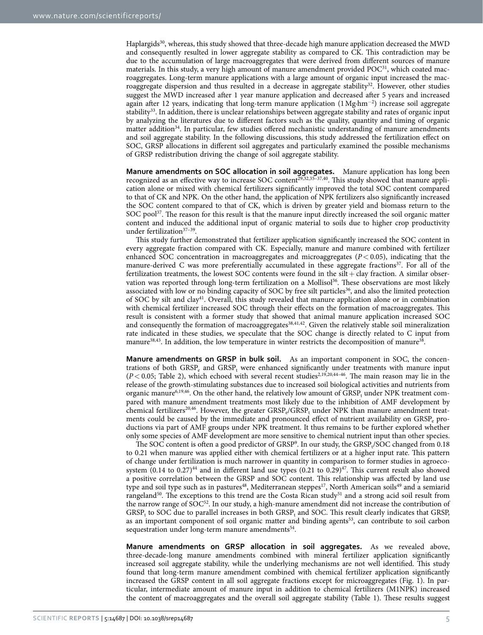Haplargids<sup>30</sup>, whereas, this study showed that three-decade high manure application decreased the MWD and consequently resulted in lower aggregate stability as compared to CK. This contradiction may be due to the accumulation of large macroaggregates that were derived from different sources of manure materials. In this study, a very high amount of manure amendment provided  $POC<sup>31</sup>$ , which coated macroaggregates. Long-term manure applications with a large amount of organic input increased the macroaggregate dispersion and thus resulted in a decrease in aggregate stability<sup>32</sup>. However, other studies suggest the MWD increased after 1 year manure application and decreased after 5 years and increased again after 12 years, indicating that long-term manure application (1Mg·hm<sup>−</sup><sup>2</sup> ) increase soil aggregate stability<sup>[33](#page-9-5)</sup>. In addition, there is unclear relationships between aggregate stability and rates of organic input by analyzing the literatures due to different factors such as the quality, quantity and timing of organic matter addition<sup>34</sup>. In particular, few studies offered mechanistic understanding of manure amendments and soil aggregate stability. In the following discussions, this study addressed the fertilization effect on SOC, GRSP allocations in different soil aggregates and particularly examined the possible mechanisms of GRSP redistribution driving the change of soil aggregate stability.

**Manure amendments on SOC allocation in soil aggregates.** Manure application has long been recognized as an effective way to increase SOC content<sup>29,[32,](#page-9-4)[35–37](#page-9-7)[,40](#page-9-8)</sup>. This study showed that manure application alone or mixed with chemical fertilizers significantly improved the total SOC content compared to that of CK and NPK. On the other hand, the application of NPK fertilizers also significantly increased the SOC content compared to that of CK, which is driven by greater yield and biomass return to the SOC pool<sup>37</sup>. The reason for this result is that the manure input directly increased the soil organic matter content and induced the additional input of organic material to soils due to higher crop productivity under fertilization<sup>37-39</sup>.

This study further demonstrated that fertilizer application significantly increased the SOC content in every aggregate fraction compared with CK. Especially, manure and manure combined with fertilizer enhanced SOC concentration in macroaggregates and microaggregates  $(P < 0.05)$ , indicating that the manure-derived C was more preferentially accumulated in these aggregate fractions<sup>37</sup>. For all of the fertilization treatments, the lowest SOC contents were found in the  $silt + clay$  fraction. A similar observation was reported through long-term fertilization on a Mollisol<sup>36</sup>. These observations are most likely associated with low or no binding capacity of SOC by free silt particles<sup>36</sup>, and also the limited protection of SOC by silt and clay[41.](#page-9-11) Overall, this study revealed that manure application alone or in combination with chemical fertilizer increased SOC through their effects on the formation of macroaggregates. This result is consistent with a former study that showed that animal manure application increased SOC and consequently the formation of macroaggregates<sup>38,[41,](#page-9-11)42</sup>. Given the relatively stable soil mineralization rate indicated in these studies, we speculate that the SOC change is directly related to C input from manure<sup>[38](#page-9-12)[,43](#page-9-14)</sup>. In addition, the low temperature in winter restricts the decomposition of manure<sup>38</sup>.

**Manure amendments on GRSP in bulk soil.** As an important component in SOC, the concentrations of both  $GSP_e$  and  $GSP_t$  were enhanced significantly under treatments with manure input  $(P< 0.05$ ; Table [2](#page-8-1)), which echoed with several recent studies<sup>2[,19](#page-8-11),[20,](#page-8-12)44-46</sup>. The main reason may lie in the release of the growth-stimulating substances due to increased soil biological activities and nutrients from organic manure<sup>[6,](#page-8-2)[19](#page-8-11),[46](#page-9-16)</sup>. On the other hand, the relatively low amount of  $\mathrm{GRSP}_t$  under NPK treatment compared with manure amendment treatments most likely due to the inhibition of AMF development by chemical fertilizers<sup>20,46</sup>. However, the greater  $GRSP_e/GRSP_t$  under NPK than manure amendment treatments could be caused by the immediate and pronounced effect of nutrient availability on GRSP<sub>e</sub> productions via part of AMF groups under NPK treatment. It thus remains to be further explored whether only some species of AMF development are more sensitive to chemical nutrient input than other species.

The SOC content is often a good predictor of GRSP<sup>9</sup>. In our study, the GRSP<sub>t</sub>/SOC changed from 0.18 to 0.21 when manure was applied either with chemical fertilizers or at a higher input rate. This pattern of change under fertilization is much narrower in quantity in comparison to former studies in agroecosystem  $(0.14$  to  $0.27)$ <sup>44</sup> and in different land use types  $(0.21$  to  $0.29)$ <sup>47</sup>. This current result also showed a positive correlation between the GRSP and SOC content. This relationship was affected by land use type and soil type such as in pastures<sup>48</sup>, Mediterranean steppes<sup>17</sup>, North American soils<sup>49</sup> and a semiarid rangeland<sup>50</sup>. The exceptions to this trend are the Costa Rican study<sup>51</sup> and a strong acid soil result from the narrow range of SOC<sup>52</sup>. In our study, a high-manure amendment did not increase the contribution of  $GRSP_t$  to SOC due to parallel increases in both  $GRSP_t$  and SOC. This result clearly indicates that GRSP, as an important component of soil organic matter and binding agents<sup>53</sup>, can contribute to soil carbon sequestration under long-term manure amendments<sup>54</sup>.

**Manure amendments on GRSP allocation in soil aggregates.** As we revealed above, three-decade-long manure amendments combined with mineral fertilizer application significantly increased soil aggregate stability, while the underlying mechanisms are not well identified. This study found that long-term manure amendment combined with chemical fertilizer application significantly increased the GRSP content in all soil aggregate fractions except for microaggregates ([Fig. 1](#page-4-1)). In particular, intermediate amount of manure input in addition to chemical fertilizers (M1NPK) increased the content of macroaggregates and the overall soil aggregate stability [\(Table 1\)](#page-3-0). These results suggest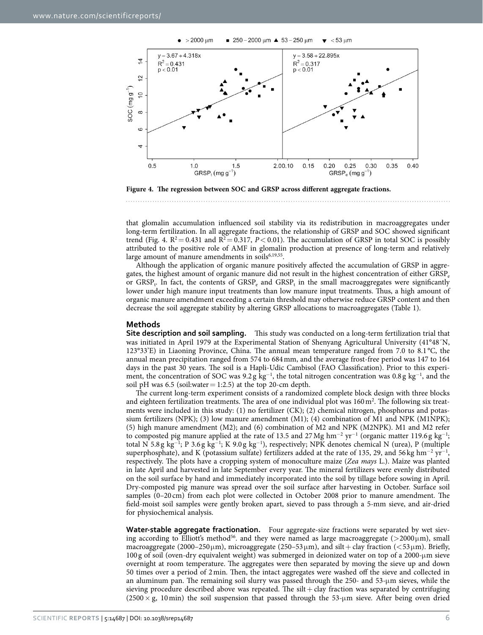

<span id="page-7-0"></span>**Figure 4. The regression between SOC and GRSP across different aggregate fractions.** 

that glomalin accumulation influenced soil stability via its redistribution in macroaggregates under long-term fertilization. In all aggregate fractions, the relationship of GRSP and SOC showed significant trend ([Fig. 4](#page-7-0).  $R^2 = 0.431$  and  $R^2 = 0.317$ ,  $P < 0.01$ ). The accumulation of GRSP in total SOC is possibly attributed to the positive role of AMF in glomalin production at presence of long-term and relatively large amount of manure amendments in soils<sup>[6](#page-8-2)[,19](#page-8-11),55</sup>.

Although the application of organic manure positively affected the accumulation of GRSP in aggregates, the highest amount of organic manure did not result in the highest concentration of either GRSPe or GRSP<sub>t</sub>. In fact, the contents of  $GRSP_e$  and  $GRSP_t$  in the small macroaggregates were significantly lower under high manure input treatments than low manure input treatments. Thus, a high amount of organic manure amendment exceeding a certain threshold may otherwise reduce GRSP content and then decrease the soil aggregate stability by altering GRSP allocations to macroaggregates ([Table 1\)](#page-3-0).

#### **Methods**

**Site description and soil sampling.** This study was conducted on a long-term fertilization trial that was initiated in April 1979 at the Experimental Station of Shenyang Agricultural University (41°48´N, 123°33'E) in Liaoning Province, China. The annual mean temperature ranged from 7.0 to 8.1 °C, the annual mean precipitation ranged from 574 to 684mm, and the average frost-free period was 147 to 164 days in the past 30 years. The soil is a Hapli-Udic Cambisol (FAO Classification). Prior to this experiment, the concentration of SOC was 9.2 g  $kg^{-1}$ , the total nitrogen concentration was 0.8 g kg<sup>-1</sup>, and the soil pH was  $6.5$  (soil:water  $= 1:2.5$ ) at the top 20-cm depth.

The current long-term experiment consists of a randomized complete block design with three blocks and eighteen fertilization treatments. The area of one individual plot was 160 m<sup>2</sup>. The following six treatments were included in this study: (1) no fertilizer (CK); (2) chemical nitrogen, phosphorus and potassium fertilizers (NPK); (3) low manure amendment (M1); (4) combination of M1 and NPK (M1NPK); (5) high manure amendment (M2); and (6) combination of M2 and NPK (M2NPK). M1 and M2 refer to composted pig manure applied at the rate of 13.5 and 27 Mg  $\text{hm}^{-2}$  yr<sup>-1</sup> (organic matter 119.6g kg<sup>-1</sup>; total N 5.8 g kg<sup>-1</sup>; P 3.6 g kg<sup>-1</sup>; K 9.0 g kg<sup>-1</sup>), respectively; NPK denotes chemical N (urea), P (multiple superphosphate), and K (potassium sulfate) fertilizers added at the rate of 135, 29, and 56 kg hm<sup>-2</sup> yr<sup>-1</sup>, respectively. The plots have a cropping system of monoculture maize (*Zea mays* L.). Maize was planted in late April and harvested in late September every year. The mineral fertilizers were evenly distributed on the soil surface by hand and immediately incorporated into the soil by tillage before sowing in April. Dry-composted pig manure was spread over the soil surface after harvesting in October. Surface soil samples (0–20 cm) from each plot were collected in October 2008 prior to manure amendment. The field-moist soil samples were gently broken apart, sieved to pass through a 5-mm sieve, and air-dried for physiochemical analysis.

**Water-stable aggregate fractionation.** Four aggregate-size fractions were separated by wet siev-ing according to Elliott's method<sup>[56](#page-9-26)</sup>, and they were named as large macroaggregate ( $>$ 2000 $\mu$ m), small macroaggregate (2000–250 µm), microaggregate (250–53 µm), and silt + clay fraction ( $<$ 53 µm). Briefly, 100 g of soil (oven-dry equivalent weight) was submerged in deionized water on top of a 2000-μm sieve overnight at room temperature. The aggregates were then separated by moving the sieve up and down 50 times over a period of 2min. Then, the intact aggregates were washed off the sieve and collected in an aluminum pan. The remaining soil slurry was passed through the 250- and 53-μm sieves, while the sieving procedure described above was repeated. The silt  $+$  clay fraction was separated by centrifuging  $(2500 \times g, 10 \text{ min})$  the soil suspension that passed through the 53-µm sieve. After being oven dried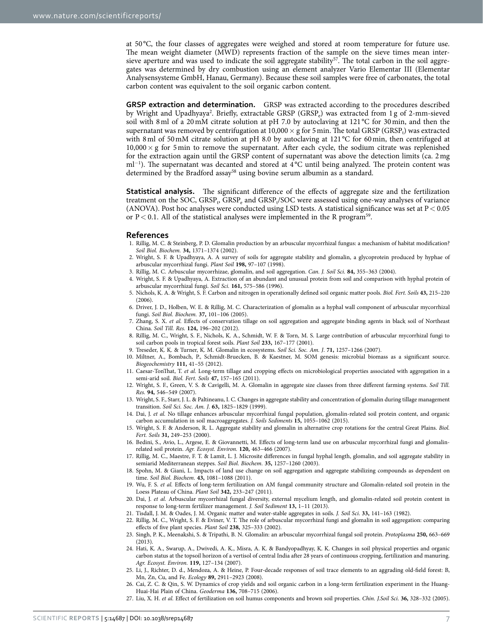at 50 °C, the four classes of aggregates were weighed and stored at room temperature for future use. The mean weight diameter (MWD) represents fraction of the sample on the sieve times mean intersieve aperture and was used to indicate the soil aggregate stability<sup>57</sup>. The total carbon in the soil aggregates was determined by dry combustion using an element analyzer Vario Elementar III (Elementar Analysensysteme GmbH, Hanau, Germany). Because these soil samples were free of carbonates, the total carbon content was equivalent to the soil organic carbon content.

**GRSP extraction and determination.** GRSP was extracted according to the procedures described by Wright and Upadhyaya<sup>2</sup>. Briefly, extractable GRSP (GRSP<sub>e</sub>) was extracted from 1 g of 2-mm-sieved soil with 8 ml of a 20 mM citrate solution at pH 7.0 by autoclaving at 121 °C for 30 min, and then the supernatant was removed by centrifugation at  $10{,}000\times$  g for 5 min. The total GRSP (GRSP<sub>t</sub>) was extracted with 8 ml of 50 mM citrate solution at pH 8.0 by autoclaving at 121 °C for 60 min, then centrifuged at  $10,000 \times g$  for 5 min to remove the supernatant. After each cycle, the sodium citrate was replenished for the extraction again until the GRSP content of supernatant was above the detection limits (ca. 2mg ml<sup>-1</sup>). The supernatant was decanted and stored at 4 °C until being analyzed. The protein content was determined by the Bradford assay<sup>58</sup> using bovine serum albumin as a standard.

**Statistical analysis.** The significant difference of the effects of aggregate size and the fertilization treatment on the SOC,  $GRSP<sub>e</sub>$  GRSP<sub>e</sub> and  $GRSP<sub>t</sub>/SOC$  were assessed using one-way analyses of variance (ANOVA). Post hoc analyses were conducted using LSD tests. A statistical significance was set at  $P < 0.05$ or  $P < 0.1$ . All of the statistical analyses were implemented in the R program<sup>59</sup>.

#### **References**

- <span id="page-8-0"></span>1. Rillig, M. C. & Steinberg, P. D. Glomalin production by an arbuscular mycorrhizal fungus: a mechanism of habitat modification? *Soil Biol. Biochem.* **34,** 1371–1374 (2002).
- <span id="page-8-1"></span>2. Wright, S. F. & Upadhyaya, A. A survey of soils for aggregate stability and glomalin, a glycoprotein produced by hyphae of arbuscular mycorrhizal fungi. *Plant Soil* **198,** 97–107 (1998).
- <span id="page-8-3"></span>3. Rillig, M. C. Arbuscular mycorrhizae, glomalin, and soil aggregation. *Can. J. Soil Sci.* **84,** 355–363 (2004).
- <span id="page-8-14"></span>4. Wright, S. F. & Upadhyaya, A. Extraction of an abundant and unusual protein from soil and comparison with hyphal protein of arbuscular mycorrhizal fungi. *Soil Sci.* **161,** 575–586 (1996).
- 5. Nichols, K. A. & Wright, S. F. Carbon and nitrogen in operationally defined soil organic matter pools. *Biol. Fert. Soils* **43,** 215–220  $(2006)$
- <span id="page-8-2"></span>6. Driver, J. D., Holben, W. E. & Rillig, M. C. Characterization of glomalin as a hyphal wall component of arbuscular mycorrhizal fungi. *Soil Biol. Biochem.* **37,** 101–106 (2005).
- <span id="page-8-4"></span>7. Zhang, S. X. *et al.* Effects of conservation tillage on soil aggregation and aggregate binding agents in black soil of Northeast China. *Soil Till. Res.* **124,** 196–202 (2012).
- <span id="page-8-5"></span>8. Rillig, M. C., Wright, S. F., Nichols, K. A., Schmidt, W. F. & Torn, M. S. Large contribution of arbuscular mycorrhizal fungi to soil carbon pools in tropical forest soils. *Plant Soil* **233,** 167–177 (2001).
- <span id="page-8-7"></span><span id="page-8-6"></span>9. Treseder, K. K. & Turner, K. M. Glomalin in ecosystems. *Soil Sci. Soc. Am. J*. **71,** 1257–1266 (2007).
- 10. Miltner, A., Bombach, P., Schmidt-Bruecken, B. & Kaestner, M. SOM genesis: microbial biomass as a significant source. *Biogeochemistry* **111,** 41–55 (2012).
- <span id="page-8-8"></span>11. Caesar-TonThat, T. *et al.* Long-term tillage and cropping effects on microbiological properties associated with aggregation in a semi-arid soil. *Biol. Fert. Soils* **47,** 157–165 (2011).
- <span id="page-8-16"></span>12. Wright, S. F., Green, V. S. & Cavigelli, M. A. Glomalin in aggregate size classes from three different farming systems. *Soil Till. Res.* **94,** 546–549 (2007).
- 13. Wright, S. F., Starr, J. L. & Paltineanu, I. C. Changes in aggregate stability and concentration of glomalin during tillage management transition. *Soil Sci. Soc. Am. J*. **63,** 1825–1829 (1999).
- 14. Dai, J. *et al.* No tillage enhances arbuscular mycorrhizal fungal population, glomalin-related soil protein content, and organic carbon accumulation in soil macroaggregates. *J. Soils Sediments* **15,** 1055–1062 (2015).
- <span id="page-8-9"></span>15. Wright, S. F. & Anderson, R. L. Aggregate stability and glomalin in alternative crop rotations for the central Great Plains. *Biol. Fert. Soils* **31,** 249–253 (2000).
- <span id="page-8-10"></span>16. Bedini, S., Avio, L., Argese, E. & Giovannetti, M. Effects of long-term land use on arbuscular mycorrhizal fungi and glomalinrelated soil protein. *Agr. Ecosyst. Environ.* **120,** 463–466 (2007).
- <span id="page-8-22"></span>17. Rillig, M. C., Maestre, F. T. & Lamit, L. J. Microsite differences in fungal hyphal length, glomalin, and soil aggregate stability in semiarid Mediterranean steppes. *Soil Biol. Biochem.* **35,** 1257–1260 (2003).
- 18. Spohn, M. & Giani, L. Impacts of land use change on soil aggregation and aggregate stabilizing compounds as dependent on time. *Soil Biol. Biochem.* **43,** 1081–1088 (2011).
- <span id="page-8-11"></span>19. Wu, F. S. *et al.* Effects of long-term fertilization on AM fungal community structure and Glomalin-related soil protein in the Loess Plateau of China. *Plant Soil* **342,** 233–247 (2011).
- <span id="page-8-12"></span>20. Dai, J. *et al.* Arbuscular mycorrhizal fungal diversity, external mycelium length, and glomalin-related soil protein content in response to long-term fertilizer management. *J. Soil Sediment* **13,** 1–11 (2013).
- <span id="page-8-15"></span><span id="page-8-13"></span>21. Tisdall, J. M. & Oades, J. M. Organic matter and water-stable aggregates in soils. *J. Soil Sci*. **33,** 141–163 (1982).
- 22. Rillig, M. C., Wright, S. F. & Eviner, V. T. The role of arbuscular mycorrhizal fungi and glomalin in soil aggregation: comparing effects of five plant species. *Plant Soil* **238,** 325–333 (2002).
- <span id="page-8-17"></span>23. Singh, P. K., Meenakshi, S. & Tripathi, B. N. Glomalin: an arbuscular mycorrhizal fungal soil protein. *Protoplasma* **250,** 663–669  $(2013)$
- <span id="page-8-18"></span>24. Hati, K. A., Swarup, A., Dwivedi, A. K., Misra, A. K. & Bandyopadhyay, K. K. Changes in soil physical properties and organic carbon status at the topsoil horizon of a vertisol of central India after 28 years of continuous cropping, fertilization and manuring. *Agr. Ecosyst. Environ.* **119,** 127–134 (2007).
- <span id="page-8-19"></span>25. Li, J., Richter, D. d., Mendoza, A. & Heine, P. Four-decade responses of soil trace elements to an aggrading old-field forest: B, Mn, Zn, Cu, and Fe. *Ecology* **89,** 2911–2923 (2008).
- <span id="page-8-20"></span>26. Cai, Z. C. & Qin, S. W. Dynamics of crop yields and soil organic carbon in a long-term fertilization experiment in the Huang-Huai-Hai Plain of China. *Geoderma* **136,** 708–715 (2006).
- <span id="page-8-21"></span>27. Liu, X. H. *et al.* Effect of fertilization on soil humus components and brown soil properties. *Chin. J.Soil Sci*. **36,** 328–332 (2005).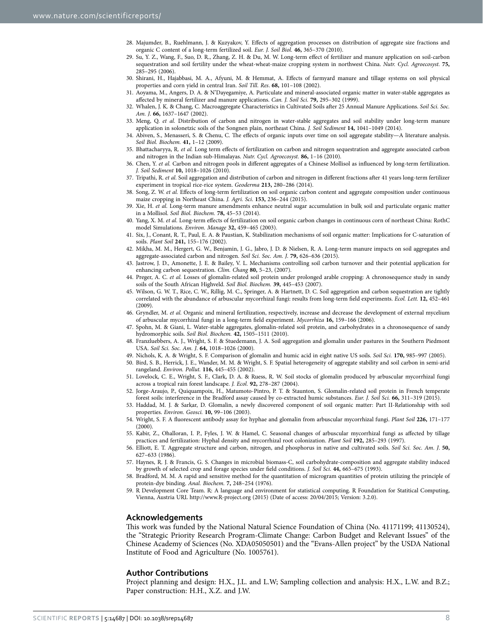- <span id="page-9-0"></span>28. Majumder, B., Ruehlmann, J. & Kuzyakov, Y. Effects of aggregation processes on distribution of aggregate size fractions and organic C content of a long-term fertilized soil. *Eur. J. Soil Biol.* **46,** 365–370 (2010).
- <span id="page-9-1"></span>29. Su, Y. Z., Wang, F., Suo, D. R., Zhang, Z. H. & Du, M. W. Long-term effect of fertilizer and manure application on soil-carbon sequestration and soil fertility under the wheat-wheat-maize cropping system in northwest China. *Nutr. Cycl. Agroecosyst.* **75,** 285–295 (2006).
- <span id="page-9-2"></span>30. Shirani, H., Hajabbasi, M. A., Afyuni, M. & Hemmat, A. Effects of farmyard manure and tillage systems on soil physical properties and corn yield in central Iran. *Soil Till. Res*. **68,** 101–108 (2002).
- <span id="page-9-3"></span>31. Aoyama, M., Angers, D. A. & N'Dayegamiye, A. Particulate and mineral-associated organic matter in water-stable aggregates as affected by mineral fertilizer and manure applications. *Can. J. Soil Sci.* **79,** 295–302 (1999).
- <span id="page-9-4"></span>32. Whalen, J. K. & Chang, C. Macroaggregate Characteristics in Cultivated Soils after 25 Annual Manure Applications. *Soil Sci. Soc. Am. J*. **66,** 1637–1647 (2002).
- <span id="page-9-5"></span>33. Meng, Q. *et al.* Distribution of carbon and nitrogen in water-stable aggregates and soil stability under long-term manure application in solonetzic soils of the Songnen plain, northeast China. *J. Soil Sediment* **14,** 1041–1049 (2014).
- <span id="page-9-6"></span>34. Abiven, S., Menasseri, S. & Chenu, C. The effects of organic inputs over time on soil aggregate stability—A literature analysis. *Soil Biol. Biochem.* **41,** 1–12 (2009).
- <span id="page-9-7"></span>35. Bhattacharyya, R. *et al.* Long term effects of fertilization on carbon and nitrogen sequestration and aggregate associated carbon and nitrogen in the Indian sub-Himalayas. *Nutr. Cycl. Agroecosyst.* **86,** 1–16 (2010).
- <span id="page-9-10"></span>36. Chen, Y. *et al.* Carbon and nitrogen pools in different aggregates of a Chinese Mollisol as influenced by long-term fertilization. *J. Soil Sediment* **10,** 1018–1026 (2010).
- <span id="page-9-9"></span>37. Tripathi, R. *et al.* Soil aggregation and distribution of carbon and nitrogen in different fractions after 41 years long-term fertilizer experiment in tropical rice-rice system. *Geoderma* **213,** 280–286 (2014).
- <span id="page-9-12"></span>38. Song, Z. W. *et al.* Effects of long-term fertilization on soil organic carbon content and aggregate composition under continuous maize cropping in Northeast China. *J. Agri. Sci*. **153,** 236–244 (2015).
- 39. Xie, H. *et al.* Long-term manure amendments enhance neutral sugar accumulation in bulk soil and particulate organic matter in a Mollisol. *Soil Biol. Biochem.* **78,** 45–53 (2014).
- <span id="page-9-8"></span>40. Yang, X. M. *et al.* Long-term effects of fertilization on soil organic carbon changes in continuous corn of northeast China: RothC model Simulations. *Environ. Manage* **32,** 459–465 (2003).
- <span id="page-9-11"></span>41. Six, J., Conant, R. T., Paul, E. A. & Paustian, K. Stabilization mechanisms of soil organic matter: Implications for C-saturation of soils. *Plant Soil* **241,** 155–176 (2002).
- <span id="page-9-13"></span>42. Mikha, M. M., Hergert, G. W., Benjamin, J. G., Jabro, J. D. & Nielsen, R. A. Long-term manure impacts on soil aggregates and aggregate-associated carbon and nitrogen. *Soil Sci. Soc. Am. J*. **79,** 626–636 (2015).
- <span id="page-9-14"></span>43. Jastrow, J. D., Amonette, J. E. & Bailey, V. L. Mechanisms controlling soil carbon turnover and their potential application for enhancing carbon sequestration. *Clim. Chang* **80,** 5–23, (2007).
- <span id="page-9-15"></span>44. Preger, A. C. *et al.* Losses of glomalin-related soil protein under prolonged arable cropping: A chronosequence study in sandy soils of the South African Highveld. *Soil Biol. Biochem.* **39,** 445–453 (2007).
- 45. Wilson, G. W. T., Rice, C. W., Rillig, M. C., Springer, A. & Hartnett, D. C. Soil aggregation and carbon sequestration are tightly correlated with the abundance of arbuscular mycorrhizal fungi: results from long-term field experiments. *Ecol. Lett.* **12,** 452–461 (2009).
- <span id="page-9-16"></span>46. Gryndler, M. *et al.* Organic and mineral fertilization, respectively, increase and decrease the development of external mycelium of arbuscular mycorrhizal fungi in a long-term field experiment. *Mycorrhiza* **16,** 159–166 (2006).
- <span id="page-9-17"></span>47. Spohn, M. & Giani, L. Water-stable aggregates, glomalin-related soil protein, and carbohydrates in a chronosequence of sandy hydromorphic soils. *Soil Biol. Biochem.* **42,** 1505–1511 (2010).
- <span id="page-9-18"></span>48. Franzluebbers, A. J., Wright, S. F. & Stuedemann, J. A. Soil aggregation and glomalin under pastures in the Southern Piedmont USA. *Soil Sci. Soc. Am. J*. **64,** 1018–1026 (2000).
- <span id="page-9-20"></span><span id="page-9-19"></span>49. Nichols, K. A. & Wright, S. F. Comparison of glomalin and humic acid in eight native US soils. *Soil Sci.* **170,** 985–997 (2005).
- 50. Bird, S. B., Herrick, J. E., Wander, M. M. & Wright, S. F. Spatial heterogeneity of aggregate stability and soil carbon in semi-arid rangeland. *Environ. Pollut.* **116,** 445–455 (2002).
- <span id="page-9-21"></span>51. Lovelock, C. E., Wright, S. F., Clark, D. A. & Ruess, R. W. Soil stocks of glomalin produced by arbuscular mycorrhizal fungi across a tropical rain forest landscape. *J. Ecol.* **92,** 278–287 (2004).
- <span id="page-9-22"></span>52. Jorge-Araujo, P., Quiquampoix, H., Matumoto-Pintro, P. T. & Staunton, S. Glomalin-related soil protein in French temperate forest soils: interference in the Bradford assay caused by co-extracted humic substances. *Eur. J. Soil Sci.* **66,** 311–319 (2015).
- <span id="page-9-23"></span>53. Haddad, M. J. & Sarkar, D. Glomalin, a newly discovered component of soil organic matter: Part II-Relationship with soil properties. *Environ. Geosci.* **10,** 99–106 (2003).
- <span id="page-9-24"></span>54. Wright, S. F. A fluorescent antibody assay for hyphae and glomalin from arbuscular mycorrhizal fungi. *Plant Soil* **226,** 171–177 (2000).
- <span id="page-9-25"></span>55. Kabir, Z., Ohalloran, I. P., Fyles, J. W. & Hamel, C. Seasonal changes of arbuscular mycorrhizal fungi as affected by tillage practices and fertilization: Hyphal density and mycorrhizal root colonization. *Plant Soil* **192,** 285–293 (1997).
- <span id="page-9-26"></span>56. Elliott, E. T. Aggregate structure and carbon, nitrogen, and phosphorus in native and cultivated soils. *Soil Sci. Soc. Am. J*. **50,** 627–633 (1986).
- <span id="page-9-27"></span>57. Haynes, R. J. & Francis, G. S. Changes in microbial biomass-C, soil carbohydrate-composition and aggregate stability induced by growth of selected crop and forage species under field conditions. *J. Soil Sci*. **44,** 665–675 (1993).
- <span id="page-9-28"></span>58. Bradford, M. M. A rapid and sensitive method for the quantitation of microgram quantities of protein utilizing the principle of protein-dye binding. *Anal. Biochem.* **7,** 248–254 (1976).
- <span id="page-9-29"></span>59. R Development Core Team. R: A language and environment for statistical computing. R Foundation for Statitical Computing, Vienna, Austria URL <http://www.R-project.org> (2015) (Date of access: 20/04/2015; Version: 3.2.0).

#### **Acknowledgements**

This work was funded by the National Natural Science Foundation of China (No. 41171199; 41130524), the "Strategic Priority Research Program-Climate Change: Carbon Budget and Relevant Issues" of the Chinese Academy of Sciences (No. XDA05050501) and the "Evans-Allen project" by the USDA National Institute of Food and Agriculture (No. 1005761).

#### **Author Contributions**

Project planning and design: H.X., J.L. and L.W; Sampling collection and analysis: H.X., L.W. and B.Z.; Paper construction: H.H., X.Z. and J.W.